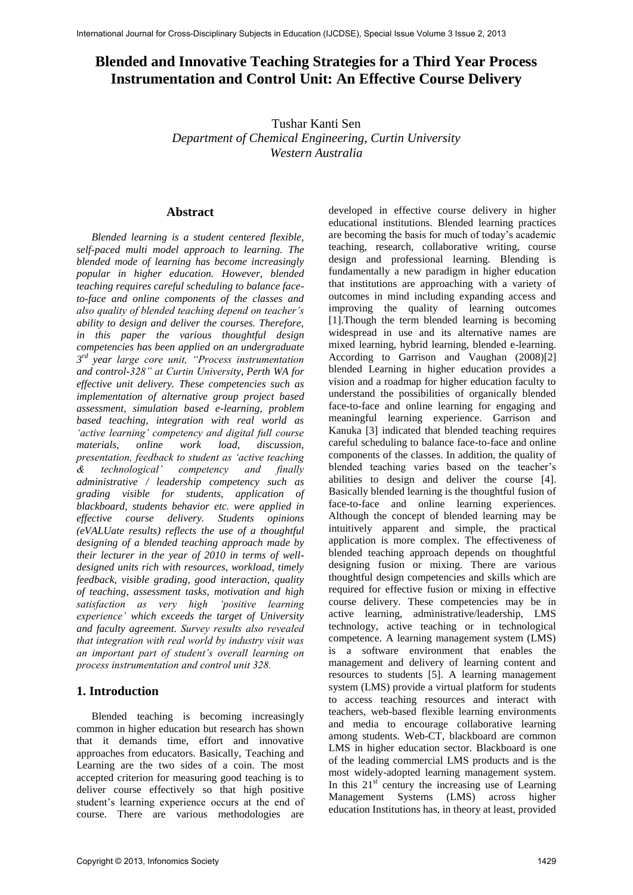# **Blended and Innovative Teaching Strategies for a Third Year Process Instrumentation and Control Unit: An Effective Course Delivery**

Tushar Kanti Sen *Department of Chemical Engineering, Curtin University Western Australia* 

## **Abstract**

*Blended learning is a student centered flexible, self-paced multi model approach to learning. The blended mode of learning has become increasingly popular in higher education. However, blended teaching requires careful scheduling to balance faceto-face and online components of the classes and also quality of blended teaching depend on teacher's ability to design and deliver the courses. Therefore, in this paper the various thoughtful design competencies has been applied on an undergraduate 3 rd year large core unit, "Process instrumentation and control-328" at Curtin University, Perth WA for effective unit delivery. These competencies such as implementation of alternative group project based assessment, simulation based e-learning, problem based teaching, integration with real world as 'active learning' competency and digital full course materials, online work load, discussion, presentation, feedback to student as 'active teaching & technological' competency and finally administrative / leadership competency such as grading visible for students, application of blackboard, students behavior etc. were applied in effective course delivery. Students opinions (eVALUate results) reflects the use of a thoughtful designing of a blended teaching approach made by their lecturer in the year of 2010 in terms of welldesigned units rich with resources, workload, timely feedback, visible grading, good interaction, quality of teaching, assessment tasks, motivation and high satisfaction as very high experience' which exceeds the target of University and faculty agreement. Survey results also revealed that integration with real world by industry visit was an important part of student's overall learning on process instrumentation and control unit 328.*

## **1. Introduction**

Blended teaching is becoming increasingly common in higher education but research has shown that it demands time, effort and innovative approaches from educators. Basically, Teaching and Learning are the two sides of a coin. The most accepted criterion for measuring good teaching is to deliver course effectively so that high positive student's learning experience occurs at the end of course. There are various methodologies are developed in effective course delivery in higher educational institutions. Blended learning practices are becoming the basis for much of today's academic teaching, research, collaborative writing, course design and professional learning. Blending is fundamentally a new paradigm in higher education that institutions are approaching with a variety of outcomes in mind including expanding access and improving the quality of learning outcomes [1].Though the term blended learning is becoming widespread in use and its alternative names are mixed learning, hybrid learning, blended e-learning. According to Garrison and Vaughan (2008)[2] blended Learning in higher education provides a vision and a roadmap for higher education faculty to understand the possibilities of organically blended face-to-face and online learning for engaging and meaningful learning experience. Garrison and Kanuka [3] indicated that blended teaching requires careful scheduling to balance face-to-face and online components of the classes. In addition, the quality of blended teaching varies based on the teacher's abilities to design and deliver the course [4]. Basically blended learning is the thoughtful fusion of face-to-face and online learning experiences. Although the concept of blended learning may be intuitively apparent and simple, the practical application is more complex. The effectiveness of blended teaching approach depends on thoughtful designing fusion or mixing. There are various thoughtful design competencies and skills which are required for effective fusion or mixing in effective course delivery. These competencies may be in active learning, administrative/leadership, LMS technology, active teaching or in technological competence. A learning management system (LMS) is a software environment that enables the management and delivery of learning content and resources to students [5]. A learning management system (LMS) provide a virtual platform for students to access teaching resources and interact with teachers, web-based flexible learning environments and media to encourage collaborative learning among students. Web-CT, blackboard are common LMS in higher education sector. Blackboard is one of the leading commercial LMS products and is the most widely-adopted learning management system. In this  $21<sup>st</sup>$  century the increasing use of Learning Management Systems (LMS) across higher education Institutions has, in theory at least, provided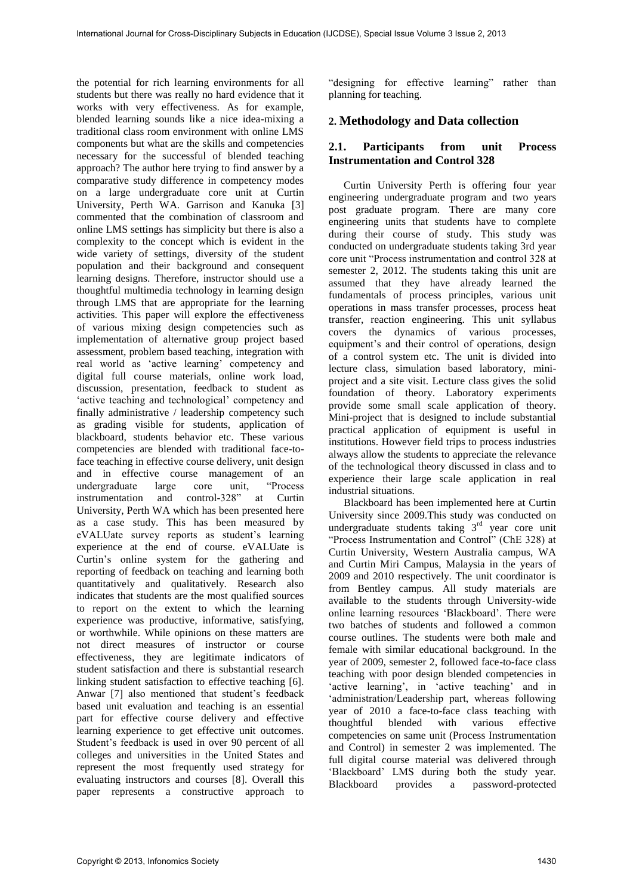the potential for rich learning environments for all students but there was really no hard evidence that it works with very effectiveness. As for example, blended learning sounds like a nice idea-mixing a traditional class room environment with online LMS components but what are the skills and competencies necessary for the successful of blended teaching approach? The author here trying to find answer by a comparative study difference in competency modes on a large undergraduate core unit at Curtin University, Perth WA. Garrison and Kanuka [3] commented that the combination of classroom and online LMS settings has simplicity but there is also a complexity to the concept which is evident in the wide variety of settings, diversity of the student population and their background and consequent learning designs. Therefore, instructor should use a thoughtful multimedia technology in learning design through LMS that are appropriate for the learning activities. This paper will explore the effectiveness of various mixing design competencies such as implementation of alternative group project based assessment, problem based teaching, integration with real world as 'active learning' competency and digital full course materials, online work load, discussion, presentation, feedback to student as 'active teaching and technological' competency and finally administrative / leadership competency such as grading visible for students, application of blackboard, students behavior etc. These various competencies are blended with traditional face-toface teaching in effective course delivery, unit design and in effective course management of an undergraduate large core unit, "Process instrumentation and control-328" at Curtin University, Perth WA which has been presented here as a case study. This has been measured by eVALUate survey reports as student's learning experience at the end of course. eVALUate is Curtin's online system for the gathering and reporting of feedback on teaching and learning both quantitatively and qualitatively. Research also indicates that students are the most qualified sources to report on the extent to which the learning experience was productive, informative, satisfying, or worthwhile. While opinions on these matters are not direct measures of instructor or course effectiveness, they are legitimate indicators of student satisfaction and there is substantial research linking student satisfaction to effective teaching [6]. Anwar [7] also mentioned that student's feedback based unit evaluation and teaching is an essential part for effective course delivery and effective learning experience to get effective unit outcomes. Student's feedback is used in over 90 percent of all colleges and universities in the United States and represent the most frequently used strategy for evaluating instructors and courses [8]. Overall this paper represents a constructive approach to "designing for effective learning" rather than planning for teaching.

## **2. Methodology and Data collection**

## **2.1. Participants from unit Process Instrumentation and Control 328**

Curtin University Perth is offering four year engineering undergraduate program and two years post graduate program. There are many core engineering units that students have to complete during their course of study. This study was conducted on undergraduate students taking 3rd year core unit "Process instrumentation and control 328 at semester 2, 2012. The students taking this unit are assumed that they have already learned the fundamentals of process principles, various unit operations in mass transfer processes, process heat transfer, reaction engineering. This unit syllabus covers the dynamics of various processes, equipment's and their control of operations, design of a control system etc. The unit is divided into lecture class, simulation based laboratory, miniproject and a site visit. Lecture class gives the solid foundation of theory. Laboratory experiments provide some small scale application of theory. Mini-project that is designed to include substantial practical application of equipment is useful in institutions. However field trips to process industries always allow the students to appreciate the relevance of the technological theory discussed in class and to experience their large scale application in real industrial situations.

Blackboard has been implemented here at Curtin University since 2009.This study was conducted on undergraduate students taking  $3<sup>rd</sup>$  year core unit "Process Instrumentation and Control" (ChE 328) at Curtin University, Western Australia campus, WA and Curtin Miri Campus, Malaysia in the years of 2009 and 2010 respectively. The unit coordinator is from Bentley campus. All study materials are available to the students through University-wide online learning resources 'Blackboard'. There were two batches of students and followed a common course outlines. The students were both male and female with similar educational background. In the year of 2009, semester 2, followed face-to-face class teaching with poor design blended competencies in 'active learning', in 'active teaching' and in 'administration/Leadership part, whereas following year of 2010 a face-to-face class teaching with thoughtful blended with various effective competencies on same unit (Process Instrumentation and Control) in semester 2 was implemented. The full digital course material was delivered through 'Blackboard' LMS during both the study year. Blackboard provides a password-protected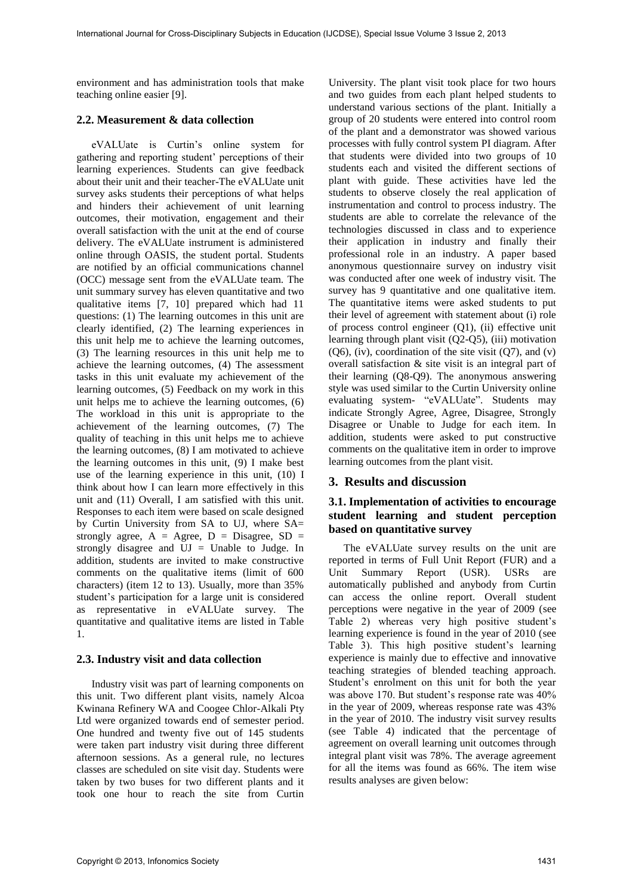environment and has administration tools that make teaching online easier [9].

#### **2.2. Measurement & data collection**

eVALUate is Curtin's online system for gathering and reporting student' perceptions of their learning experiences. Students can give feedback about their unit and their teacher-The eVALUate unit survey asks students their perceptions of what helps and hinders their achievement of unit learning outcomes, their motivation, engagement and their overall satisfaction with the unit at the end of course delivery. The eVALUate instrument is administered online through OASIS, the student portal. Students are notified by an official communications channel (OCC) message sent from the eVALUate team. The unit summary survey has eleven quantitative and two qualitative items [7, 10] prepared which had 11 questions: (1) The learning outcomes in this unit are clearly identified, (2) The learning experiences in this unit help me to achieve the learning outcomes, (3) The learning resources in this unit help me to achieve the learning outcomes, (4) The assessment tasks in this unit evaluate my achievement of the learning outcomes, (5) Feedback on my work in this unit helps me to achieve the learning outcomes, (6) The workload in this unit is appropriate to the achievement of the learning outcomes, (7) The quality of teaching in this unit helps me to achieve the learning outcomes, (8) I am motivated to achieve the learning outcomes in this unit, (9) I make best use of the learning experience in this unit, (10) I think about how I can learn more effectively in this unit and (11) Overall, I am satisfied with this unit. Responses to each item were based on scale designed by Curtin University from SA to UJ, where SA= strongly agree,  $A = \text{Agree}$ ,  $D = \text{Disagree}$ ,  $SD =$ strongly disagree and UJ = Unable to Judge. In addition, students are invited to make constructive comments on the qualitative items (limit of 600 characters) (item 12 to 13). Usually, more than 35% student's participation for a large unit is considered as representative in eVALUate survey. The quantitative and qualitative items are listed in Table 1.

#### **2.3. Industry visit and data collection**

Industry visit was part of learning components on this unit. Two different plant visits, namely Alcoa Kwinana Refinery WA and Coogee Chlor-Alkali Pty Ltd were organized towards end of semester period. One hundred and twenty five out of 145 students were taken part industry visit during three different afternoon sessions. As a general rule, no lectures classes are scheduled on site visit day. Students were taken by two buses for two different plants and it took one hour to reach the site from Curtin

University. The plant visit took place for two hours and two guides from each plant helped students to understand various sections of the plant. Initially a group of 20 students were entered into control room of the plant and a demonstrator was showed various processes with fully control system PI diagram. After that students were divided into two groups of 10 students each and visited the different sections of plant with guide. These activities have led the students to observe closely the real application of instrumentation and control to process industry. The students are able to correlate the relevance of the technologies discussed in class and to experience their application in industry and finally their professional role in an industry. A paper based anonymous questionnaire survey on industry visit was conducted after one week of industry visit. The survey has 9 quantitative and one qualitative item. The quantitative items were asked students to put their level of agreement with statement about (i) role of process control engineer (Q1), (ii) effective unit learning through plant visit (Q2-Q5), (iii) motivation  $(Q6)$ , (iv), coordination of the site visit  $(Q7)$ , and (v) overall satisfaction & site visit is an integral part of their learning (Q8-Q9). The anonymous answering style was used similar to the Curtin University online evaluating system- "eVALUate". Students may indicate Strongly Agree, Agree, Disagree, Strongly Disagree or Unable to Judge for each item. In addition, students were asked to put constructive comments on the qualitative item in order to improve learning outcomes from the plant visit.

## **3. Results and discussion**

## **3.1. Implementation of activities to encourage student learning and student perception based on quantitative survey**

The eVALUate survey results on the unit are reported in terms of Full Unit Report (FUR) and a Unit Summary Report (USR). USRs are automatically published and anybody from Curtin can access the online report. Overall student perceptions were negative in the year of 2009 (see Table 2) whereas very high positive student's learning experience is found in the year of 2010 (see Table 3). This high positive student's learning experience is mainly due to effective and innovative teaching strategies of blended teaching approach. Student's enrolment on this unit for both the year was above 170. But student's response rate was 40% in the year of 2009, whereas response rate was 43% in the year of 2010. The industry visit survey results (see Table 4) indicated that the percentage of agreement on overall learning unit outcomes through integral plant visit was 78%. The average agreement for all the items was found as 66%. The item wise results analyses are given below: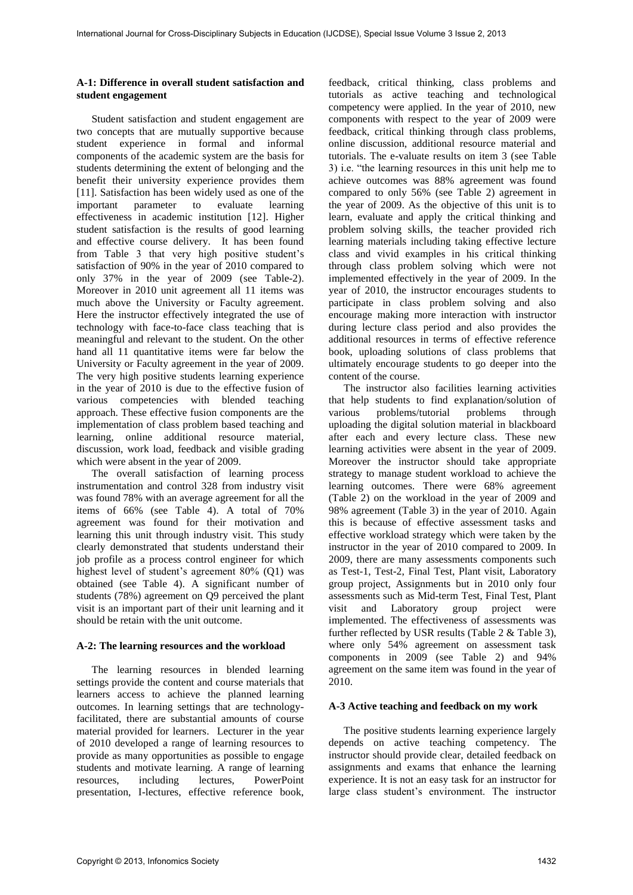#### **A-1: Difference in overall student satisfaction and student engagement**

Student satisfaction and student engagement are two concepts that are mutually supportive because student experience in formal and informal components of the academic system are the basis for students determining the extent of belonging and the benefit their university experience provides them [11]. Satisfaction has been widely used as one of the important parameter to evaluate learning important parameter to evaluate learning effectiveness in academic institution [12]. Higher student satisfaction is the results of good learning and effective course delivery. It has been found from Table 3 that very high positive student's satisfaction of 90% in the year of 2010 compared to only 37% in the year of 2009 (see Table-2). Moreover in 2010 unit agreement all 11 items was much above the University or Faculty agreement. Here the instructor effectively integrated the use of technology with face-to-face class teaching that is meaningful and relevant to the student. On the other hand all 11 quantitative items were far below the University or Faculty agreement in the year of 2009. The very high positive students learning experience in the year of 2010 is due to the effective fusion of various competencies with blended teaching approach. These effective fusion components are the implementation of class problem based teaching and learning, online additional resource material, discussion, work load, feedback and visible grading which were absent in the year of 2009.

The overall satisfaction of learning process instrumentation and control 328 from industry visit was found 78% with an average agreement for all the items of 66% (see Table 4). A total of 70% agreement was found for their motivation and learning this unit through industry visit. This study clearly demonstrated that students understand their job profile as a process control engineer for which highest level of student's agreement 80% (Q1) was obtained (see Table 4). A significant number of students (78%) agreement on Q9 perceived the plant visit is an important part of their unit learning and it should be retain with the unit outcome.

#### **A-2: The learning resources and the workload**

The learning resources in blended learning settings provide the content and course materials that learners access to achieve the planned learning outcomes. In learning settings that are technologyfacilitated, there are substantial amounts of course material provided for learners. Lecturer in the year of 2010 developed a range of learning resources to provide as many opportunities as possible to engage students and motivate learning. A range of learning resources, including lectures, PowerPoint presentation, I-lectures, effective reference book,

feedback, critical thinking, class problems and tutorials as active teaching and technological competency were applied. In the year of 2010, new components with respect to the year of 2009 were feedback, critical thinking through class problems, online discussion, additional resource material and tutorials. The e-valuate results on item 3 (see Table 3) i.e. "the learning resources in this unit help me to achieve outcomes was 88% agreement was found compared to only 56% (see Table 2) agreement in the year of 2009. As the objective of this unit is to learn, evaluate and apply the critical thinking and problem solving skills, the teacher provided rich learning materials including taking effective lecture class and vivid examples in his critical thinking through class problem solving which were not implemented effectively in the year of 2009. In the year of 2010, the instructor encourages students to participate in class problem solving and also encourage making more interaction with instructor during lecture class period and also provides the additional resources in terms of effective reference book, uploading solutions of class problems that ultimately encourage students to go deeper into the content of the course.

The instructor also facilities learning activities that help students to find explanation/solution of various problems/tutorial problems through problems/tutorial uploading the digital solution material in blackboard after each and every lecture class. These new learning activities were absent in the year of 2009. Moreover the instructor should take appropriate strategy to manage student workload to achieve the learning outcomes. There were 68% agreement (Table 2) on the workload in the year of 2009 and 98% agreement (Table 3) in the year of 2010. Again this is because of effective assessment tasks and effective workload strategy which were taken by the instructor in the year of 2010 compared to 2009. In 2009, there are many assessments components such as Test-1, Test-2, Final Test, Plant visit, Laboratory group project, Assignments but in 2010 only four assessments such as Mid-term Test, Final Test, Plant visit and Laboratory group project were implemented. The effectiveness of assessments was further reflected by USR results (Table 2 & Table 3), where only 54% agreement on assessment task components in 2009 (see Table 2) and 94% agreement on the same item was found in the year of 2010.

#### **A-3 Active teaching and feedback on my work**

The positive students learning experience largely depends on active teaching competency. The instructor should provide clear, detailed feedback on assignments and exams that enhance the learning experience. It is not an easy task for an instructor for large class student's environment. The instructor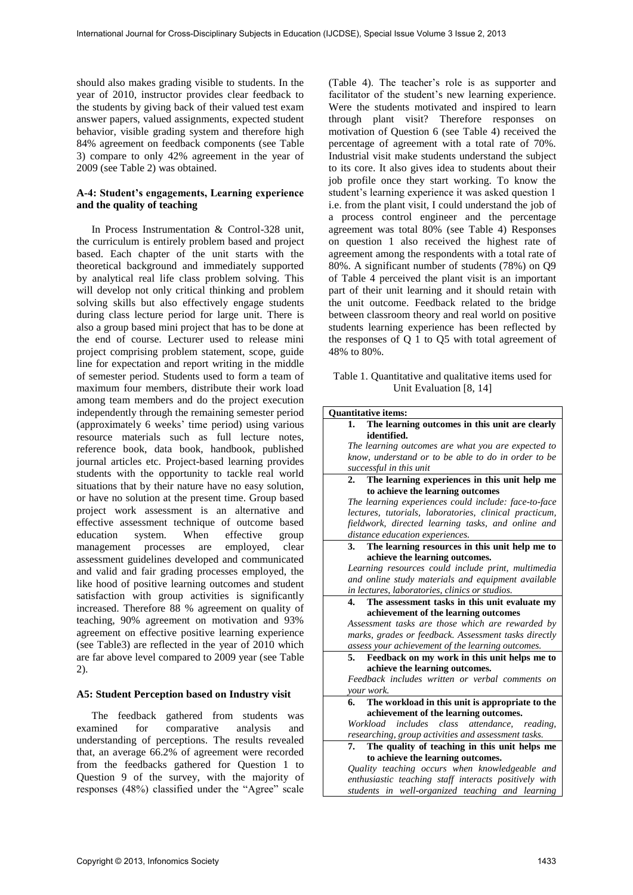should also makes grading visible to students. In the year of 2010, instructor provides clear feedback to the students by giving back of their valued test exam answer papers, valued assignments, expected student behavior, visible grading system and therefore high 84% agreement on feedback components (see Table 3) compare to only 42% agreement in the year of 2009 (see Table 2) was obtained.

#### **A-4: Student's engagements, Learning experience and the quality of teaching**

In Process Instrumentation & Control-328 unit, the curriculum is entirely problem based and project based. Each chapter of the unit starts with the theoretical background and immediately supported by analytical real life class problem solving. This will develop not only critical thinking and problem solving skills but also effectively engage students during class lecture period for large unit. There is also a group based mini project that has to be done at the end of course. Lecturer used to release mini project comprising problem statement, scope, guide line for expectation and report writing in the middle of semester period. Students used to form a team of maximum four members, distribute their work load among team members and do the project execution independently through the remaining semester period (approximately 6 weeks' time period) using various resource materials such as full lecture notes, reference book, data book, handbook, published journal articles etc. Project-based learning provides students with the opportunity to tackle real world situations that by their nature have no easy solution, or have no solution at the present time. Group based project work assessment is an alternative and effective assessment technique of outcome based education system. When effective group management processes are employed, clear assessment guidelines developed and communicated and valid and fair grading processes employed, the like hood of positive learning outcomes and student satisfaction with group activities is significantly increased. Therefore 88 % agreement on quality of teaching, 90% agreement on motivation and 93% agreement on effective positive learning experience (see Table3) are reflected in the year of 2010 which are far above level compared to 2009 year (see Table 2).

#### **A5: Student Perception based on Industry visit**

The feedback gathered from students was examined for comparative analysis and understanding of perceptions. The results revealed that, an average 66.2% of agreement were recorded from the feedbacks gathered for Question 1 to Question 9 of the survey, with the majority of responses (48%) classified under the "Agree" scale

(Table 4). The teacher's role is as supporter and facilitator of the student's new learning experience. Were the students motivated and inspired to learn through plant visit? Therefore responses on motivation of Question 6 (see Table 4) received the percentage of agreement with a total rate of 70%. Industrial visit make students understand the subject to its core. It also gives idea to students about their job profile once they start working. To know the student's learning experience it was asked question 1 i.e. from the plant visit, I could understand the job of a process control engineer and the percentage agreement was total 80% (see Table 4) Responses on question 1 also received the highest rate of agreement among the respondents with a total rate of 80%. A significant number of students (78%) on Q9 of Table 4 perceived the plant visit is an important part of their unit learning and it should retain with the unit outcome. Feedback related to the bridge between classroom theory and real world on positive students learning experience has been reflected by the responses of Q 1 to Q5 with total agreement of 48% to 80%.

#### Table 1. Quantitative and qualitative items used for Unit Evaluation [8, 14]

| <b>Ouantitative items:</b>                                       |
|------------------------------------------------------------------|
| The learning outcomes in this unit are clearly<br>1.             |
| identified.                                                      |
| The learning outcomes are what you are expected to               |
| know, understand or to be able to do in order to be              |
| successful in this unit                                          |
| The learning experiences in this unit help me<br>2.              |
| to achieve the learning outcomes                                 |
| The learning experiences could include: face-to-face             |
| lectures, tutorials, laboratories, clinical practicum,           |
| fieldwork, directed learning tasks, and online and               |
| distance education experiences.                                  |
| The learning resources in this unit help me to<br>3 <sub>1</sub> |
| achieve the learning outcomes.                                   |
| Learning resources could include print, multimedia               |
| and online study materials and equipment available               |
| in lectures, laboratories, clinics or studios.                   |
| The assessment tasks in this unit evaluate my<br>4.              |
| achievement of the learning outcomes                             |
| Assessment tasks are those which are rewarded by                 |
| marks, grades or feedback. Assessment tasks directly             |
| assess your achievement of the learning outcomes.                |
| Feedback on my work in this unit helps me to<br>5.               |
| achieve the learning outcomes.                                   |
| Feedback includes written or verbal comments on                  |
| your work.                                                       |
| The workload in this unit is appropriate to the<br>6.            |
| achievement of the learning outcomes.                            |
| includes class<br>attendance,<br>Workload<br>reading.            |
| researching, group activities and assessment tasks.              |
| The quality of teaching in this unit helps me<br>7.              |
| to achieve the learning outcomes.                                |
| Quality teaching occurs when knowledgeable and                   |
| enthusiastic teaching staff interacts positively with            |
| students in well-organized teaching and learning                 |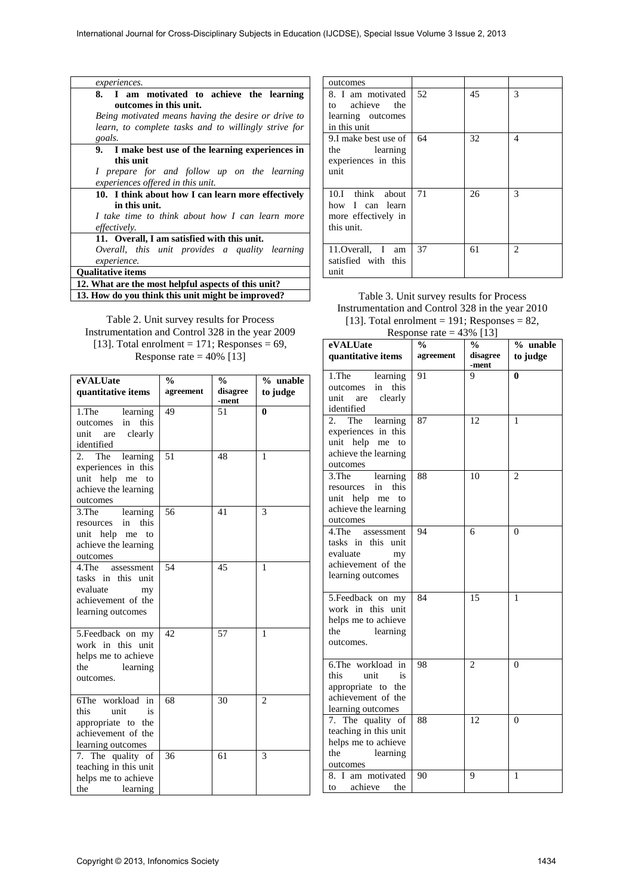| <i>experiences.</i>                                  |
|------------------------------------------------------|
| 8. I am motivated to achieve the learning            |
| outcomes in this unit.                               |
| Being motivated means having the desire or drive to  |
| learn, to complete tasks and to willingly strive for |
| goals.                                               |
| 9. I make best use of the learning experiences in    |
| this unit                                            |
| I prepare for and follow up on the learning          |
| experiences offered in this unit.                    |
| 10. I think about how I can learn more effectively   |
| in this unit.                                        |
| I take time to think about how I can learn more      |
| effectively.                                         |
| 11. Overall, I am satisfied with this unit.          |
| Overall, this unit provides a quality learning       |
| experience.                                          |
| <b>Oualitative items</b>                             |
| 12. What are the most helpful aspects of this unit?  |
| 13. How do you think this unit might be improved?    |

Table 2. Unit survey results for Process Instrumentation and Control 328 in the year 2009 [13]. Total enrolment = 171; Responses =  $69$ , Response rate  $= 40\%$  [13]

| eVALUate<br>quantitative items                                                                          | $\frac{0}{0}$<br>agreement | $\frac{0}{0}$<br>disagree<br>-ment | % unable<br>to judge |
|---------------------------------------------------------------------------------------------------------|----------------------------|------------------------------------|----------------------|
| 1.The<br>learning<br>this<br>in<br>outcomes<br>unit are<br>clearly<br>identified                        | 49                         | 51                                 | $\mathbf{0}$         |
| The<br>2.<br>learning<br>experiences in this<br>unit help me<br>to<br>achieve the learning<br>outcomes  | 51                         | 48                                 | 1                    |
| 3.The<br>learning<br>this<br>in<br>resources<br>unit help me<br>to<br>achieve the learning<br>outcomes  | 56                         | 41                                 | 3                    |
| 4.The<br>assessment<br>tasks in this unit<br>evaluate<br>my<br>achievement of the<br>learning outcomes  | 54                         | 45                                 | 1                    |
| 5. Feedback on my<br>work in this unit<br>helps me to achieve<br>the<br>learning<br>outcomes.           | 42                         | 57                                 | 1                    |
| 6The workload in<br>this<br>unit<br>is<br>appropriate to the<br>achievement of the<br>learning outcomes | 68                         | 30                                 | $\overline{2}$       |
| 7. The quality of<br>teaching in this unit<br>helps me to achieve<br>the<br>learning                    | 36                         | 61                                 | 3                    |

| outcomes                                                                 |    |    |                               |
|--------------------------------------------------------------------------|----|----|-------------------------------|
| 8. I am motivated<br>to achieve the<br>learning outcomes<br>in this unit | 52 | 45 | 3                             |
| 9.I make best use of<br>the learning<br>experiences in this<br>unit      | 64 | 32 | 4                             |
| 10.I think about<br>how I can learn<br>more effectively in<br>this unit. | 71 | 26 | 3                             |
| 11. Overall, I am<br>satisfied with this<br>unit                         | 37 | 61 | $\mathfrak{D}_{\mathfrak{p}}$ |

Table 3. Unit survey results for Process Instrumentation and Control 328 in the year 2010 [13]. Total enrolment = 191; Responses =  $82$ ,

| Response rate = $43\%$ [13]                                                                                  |               |                   |                |
|--------------------------------------------------------------------------------------------------------------|---------------|-------------------|----------------|
| eVALUate                                                                                                     | $\frac{0}{0}$ | $\frac{0}{0}$     | % unable       |
| quantitative items                                                                                           | agreement     | disagree<br>-ment | to judge       |
| 1.The<br>learning<br>this<br>outcomes<br>in<br>unit<br>clearly<br>are<br>identified                          | 91            | 9                 | 0              |
| 2.<br>The<br>learning<br>experiences in this<br>help me<br>unit<br>to<br>achieve the learning<br>outcomes    | 87            | 12                | 1              |
| 3.The<br>learning<br>this<br>in<br>resources<br>unit help me<br>to<br>achieve the learning<br>outcomes       | 88            | 10                | $\overline{c}$ |
| 4.The<br>assessment<br>tasks in<br>this<br>unit<br>evaluate<br>my<br>achievement of the<br>learning outcomes | 94            | 6                 | $\theta$       |
| 5.Feedback on my<br>work in this unit<br>helps me to achieve<br>the<br>learning<br>outcomes.                 | 84            | 15                | 1              |
| 6.The workload in<br>this<br>unit<br>is<br>appropriate to the<br>achievement of the<br>learning outcomes     | 98            | $\overline{c}$    | $\theta$       |
| 7. The quality of<br>teaching in this unit<br>helps me to achieve<br>the<br>learning<br>outcomes             | 88            | 12                | 0              |
| I am motivated<br>8.<br>achieve<br>the<br>to                                                                 | 90            | 9                 | 1              |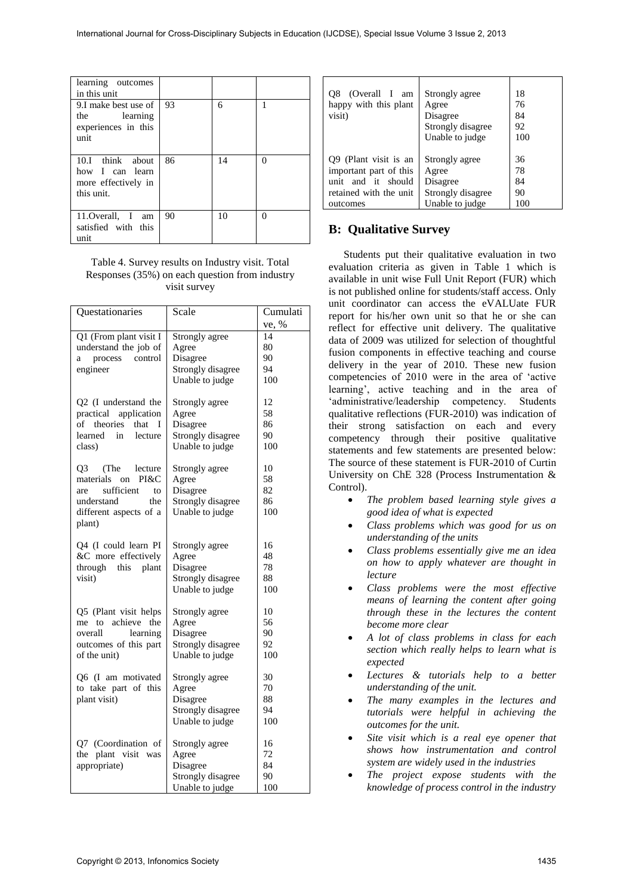| learning outcomes<br>in this unit                                        |    |    |   |
|--------------------------------------------------------------------------|----|----|---|
| 9.I make best use of<br>the learning<br>experiences in this<br>unit      | 93 | 6  |   |
| 10.I think about<br>how I can learn<br>more effectively in<br>this unit. | 86 | 14 | 0 |
| 11. Overall, I am<br>satisfied with this<br>unıt                         | 90 | 10 | 0 |

Table 4. Survey results on Industry visit. Total Responses (35%) on each question from industry visit survey

| ve, %<br>Q1 (From plant visit I<br>14<br>Strongly agree<br>understand the job of<br>80<br>Agree<br>90<br>control<br>Disagree<br>process<br>a<br>Strongly disagree<br>94<br>engineer<br>Unable to judge<br>100<br>Q2 (I understand the<br>12<br>Strongly agree<br>practical application<br>58<br>Agree<br>of<br>theories<br>that<br>Disagree<br>86<br>I<br>Strongly disagree<br>learned<br>in<br>lecture<br>90<br>Unable to judge<br>100<br>class)<br>Q3<br>(The<br>lecture<br>Strongly agree<br>10<br>58<br>materials<br>PI&C<br>Agree<br>on<br>82<br>sufficient<br>Disagree<br>to<br>are<br>Strongly disagree<br>86<br>understand<br>the<br>Unable to judge<br>100<br>different aspects of a<br>plant)<br>Q4 (I could learn PI<br>Strongly agree<br>16<br>&C more effectively<br>48<br>Agree<br>through this<br>Disagree<br>78<br>plant<br>Strongly disagree<br>88<br>visit)<br>Unable to judge<br>100<br>Q5 (Plant visit helps<br>Strongly agree<br>10<br>56<br>achieve<br>the<br>Agree<br>me<br>to<br>overall<br>Disagree<br>90<br>learning<br>outcomes of this part<br>Strongly disagree<br>92<br>Unable to judge<br>100<br>of the unit)<br>Strongly agree<br>30<br>Q6 (I am motivated<br>to take part of this<br>70<br>Agree<br>plant visit)<br>Disagree<br>88<br>Strongly disagree<br>94<br>Unable to judge<br>100<br>Q7 (Coordination of<br>Strongly agree<br>16<br>72<br>the<br>plant visit was<br>Agree<br>appropriate)<br>Disagree<br>84<br>Strongly disagree<br>90<br>Unable to judge<br>100 | Questationaries | Scale | Cumulati |
|---------------------------------------------------------------------------------------------------------------------------------------------------------------------------------------------------------------------------------------------------------------------------------------------------------------------------------------------------------------------------------------------------------------------------------------------------------------------------------------------------------------------------------------------------------------------------------------------------------------------------------------------------------------------------------------------------------------------------------------------------------------------------------------------------------------------------------------------------------------------------------------------------------------------------------------------------------------------------------------------------------------------------------------------------------------------------------------------------------------------------------------------------------------------------------------------------------------------------------------------------------------------------------------------------------------------------------------------------------------------------------------------------------------------------------------------------------------------------------------------------------|-----------------|-------|----------|
|                                                                                                                                                                                                                                                                                                                                                                                                                                                                                                                                                                                                                                                                                                                                                                                                                                                                                                                                                                                                                                                                                                                                                                                                                                                                                                                                                                                                                                                                                                         |                 |       |          |
|                                                                                                                                                                                                                                                                                                                                                                                                                                                                                                                                                                                                                                                                                                                                                                                                                                                                                                                                                                                                                                                                                                                                                                                                                                                                                                                                                                                                                                                                                                         |                 |       |          |
|                                                                                                                                                                                                                                                                                                                                                                                                                                                                                                                                                                                                                                                                                                                                                                                                                                                                                                                                                                                                                                                                                                                                                                                                                                                                                                                                                                                                                                                                                                         |                 |       |          |
|                                                                                                                                                                                                                                                                                                                                                                                                                                                                                                                                                                                                                                                                                                                                                                                                                                                                                                                                                                                                                                                                                                                                                                                                                                                                                                                                                                                                                                                                                                         |                 |       |          |
|                                                                                                                                                                                                                                                                                                                                                                                                                                                                                                                                                                                                                                                                                                                                                                                                                                                                                                                                                                                                                                                                                                                                                                                                                                                                                                                                                                                                                                                                                                         |                 |       |          |
|                                                                                                                                                                                                                                                                                                                                                                                                                                                                                                                                                                                                                                                                                                                                                                                                                                                                                                                                                                                                                                                                                                                                                                                                                                                                                                                                                                                                                                                                                                         |                 |       |          |
|                                                                                                                                                                                                                                                                                                                                                                                                                                                                                                                                                                                                                                                                                                                                                                                                                                                                                                                                                                                                                                                                                                                                                                                                                                                                                                                                                                                                                                                                                                         |                 |       |          |
|                                                                                                                                                                                                                                                                                                                                                                                                                                                                                                                                                                                                                                                                                                                                                                                                                                                                                                                                                                                                                                                                                                                                                                                                                                                                                                                                                                                                                                                                                                         |                 |       |          |
|                                                                                                                                                                                                                                                                                                                                                                                                                                                                                                                                                                                                                                                                                                                                                                                                                                                                                                                                                                                                                                                                                                                                                                                                                                                                                                                                                                                                                                                                                                         |                 |       |          |
|                                                                                                                                                                                                                                                                                                                                                                                                                                                                                                                                                                                                                                                                                                                                                                                                                                                                                                                                                                                                                                                                                                                                                                                                                                                                                                                                                                                                                                                                                                         |                 |       |          |
|                                                                                                                                                                                                                                                                                                                                                                                                                                                                                                                                                                                                                                                                                                                                                                                                                                                                                                                                                                                                                                                                                                                                                                                                                                                                                                                                                                                                                                                                                                         |                 |       |          |
|                                                                                                                                                                                                                                                                                                                                                                                                                                                                                                                                                                                                                                                                                                                                                                                                                                                                                                                                                                                                                                                                                                                                                                                                                                                                                                                                                                                                                                                                                                         |                 |       |          |
|                                                                                                                                                                                                                                                                                                                                                                                                                                                                                                                                                                                                                                                                                                                                                                                                                                                                                                                                                                                                                                                                                                                                                                                                                                                                                                                                                                                                                                                                                                         |                 |       |          |
|                                                                                                                                                                                                                                                                                                                                                                                                                                                                                                                                                                                                                                                                                                                                                                                                                                                                                                                                                                                                                                                                                                                                                                                                                                                                                                                                                                                                                                                                                                         |                 |       |          |
|                                                                                                                                                                                                                                                                                                                                                                                                                                                                                                                                                                                                                                                                                                                                                                                                                                                                                                                                                                                                                                                                                                                                                                                                                                                                                                                                                                                                                                                                                                         |                 |       |          |
|                                                                                                                                                                                                                                                                                                                                                                                                                                                                                                                                                                                                                                                                                                                                                                                                                                                                                                                                                                                                                                                                                                                                                                                                                                                                                                                                                                                                                                                                                                         |                 |       |          |
|                                                                                                                                                                                                                                                                                                                                                                                                                                                                                                                                                                                                                                                                                                                                                                                                                                                                                                                                                                                                                                                                                                                                                                                                                                                                                                                                                                                                                                                                                                         |                 |       |          |
|                                                                                                                                                                                                                                                                                                                                                                                                                                                                                                                                                                                                                                                                                                                                                                                                                                                                                                                                                                                                                                                                                                                                                                                                                                                                                                                                                                                                                                                                                                         |                 |       |          |
|                                                                                                                                                                                                                                                                                                                                                                                                                                                                                                                                                                                                                                                                                                                                                                                                                                                                                                                                                                                                                                                                                                                                                                                                                                                                                                                                                                                                                                                                                                         |                 |       |          |
|                                                                                                                                                                                                                                                                                                                                                                                                                                                                                                                                                                                                                                                                                                                                                                                                                                                                                                                                                                                                                                                                                                                                                                                                                                                                                                                                                                                                                                                                                                         |                 |       |          |
|                                                                                                                                                                                                                                                                                                                                                                                                                                                                                                                                                                                                                                                                                                                                                                                                                                                                                                                                                                                                                                                                                                                                                                                                                                                                                                                                                                                                                                                                                                         |                 |       |          |
|                                                                                                                                                                                                                                                                                                                                                                                                                                                                                                                                                                                                                                                                                                                                                                                                                                                                                                                                                                                                                                                                                                                                                                                                                                                                                                                                                                                                                                                                                                         |                 |       |          |
|                                                                                                                                                                                                                                                                                                                                                                                                                                                                                                                                                                                                                                                                                                                                                                                                                                                                                                                                                                                                                                                                                                                                                                                                                                                                                                                                                                                                                                                                                                         |                 |       |          |
|                                                                                                                                                                                                                                                                                                                                                                                                                                                                                                                                                                                                                                                                                                                                                                                                                                                                                                                                                                                                                                                                                                                                                                                                                                                                                                                                                                                                                                                                                                         |                 |       |          |
|                                                                                                                                                                                                                                                                                                                                                                                                                                                                                                                                                                                                                                                                                                                                                                                                                                                                                                                                                                                                                                                                                                                                                                                                                                                                                                                                                                                                                                                                                                         |                 |       |          |
|                                                                                                                                                                                                                                                                                                                                                                                                                                                                                                                                                                                                                                                                                                                                                                                                                                                                                                                                                                                                                                                                                                                                                                                                                                                                                                                                                                                                                                                                                                         |                 |       |          |
|                                                                                                                                                                                                                                                                                                                                                                                                                                                                                                                                                                                                                                                                                                                                                                                                                                                                                                                                                                                                                                                                                                                                                                                                                                                                                                                                                                                                                                                                                                         |                 |       |          |
|                                                                                                                                                                                                                                                                                                                                                                                                                                                                                                                                                                                                                                                                                                                                                                                                                                                                                                                                                                                                                                                                                                                                                                                                                                                                                                                                                                                                                                                                                                         |                 |       |          |
|                                                                                                                                                                                                                                                                                                                                                                                                                                                                                                                                                                                                                                                                                                                                                                                                                                                                                                                                                                                                                                                                                                                                                                                                                                                                                                                                                                                                                                                                                                         |                 |       |          |
|                                                                                                                                                                                                                                                                                                                                                                                                                                                                                                                                                                                                                                                                                                                                                                                                                                                                                                                                                                                                                                                                                                                                                                                                                                                                                                                                                                                                                                                                                                         |                 |       |          |
|                                                                                                                                                                                                                                                                                                                                                                                                                                                                                                                                                                                                                                                                                                                                                                                                                                                                                                                                                                                                                                                                                                                                                                                                                                                                                                                                                                                                                                                                                                         |                 |       |          |
|                                                                                                                                                                                                                                                                                                                                                                                                                                                                                                                                                                                                                                                                                                                                                                                                                                                                                                                                                                                                                                                                                                                                                                                                                                                                                                                                                                                                                                                                                                         |                 |       |          |
|                                                                                                                                                                                                                                                                                                                                                                                                                                                                                                                                                                                                                                                                                                                                                                                                                                                                                                                                                                                                                                                                                                                                                                                                                                                                                                                                                                                                                                                                                                         |                 |       |          |
|                                                                                                                                                                                                                                                                                                                                                                                                                                                                                                                                                                                                                                                                                                                                                                                                                                                                                                                                                                                                                                                                                                                                                                                                                                                                                                                                                                                                                                                                                                         |                 |       |          |
|                                                                                                                                                                                                                                                                                                                                                                                                                                                                                                                                                                                                                                                                                                                                                                                                                                                                                                                                                                                                                                                                                                                                                                                                                                                                                                                                                                                                                                                                                                         |                 |       |          |
|                                                                                                                                                                                                                                                                                                                                                                                                                                                                                                                                                                                                                                                                                                                                                                                                                                                                                                                                                                                                                                                                                                                                                                                                                                                                                                                                                                                                                                                                                                         |                 |       |          |
|                                                                                                                                                                                                                                                                                                                                                                                                                                                                                                                                                                                                                                                                                                                                                                                                                                                                                                                                                                                                                                                                                                                                                                                                                                                                                                                                                                                                                                                                                                         |                 |       |          |
|                                                                                                                                                                                                                                                                                                                                                                                                                                                                                                                                                                                                                                                                                                                                                                                                                                                                                                                                                                                                                                                                                                                                                                                                                                                                                                                                                                                                                                                                                                         |                 |       |          |
|                                                                                                                                                                                                                                                                                                                                                                                                                                                                                                                                                                                                                                                                                                                                                                                                                                                                                                                                                                                                                                                                                                                                                                                                                                                                                                                                                                                                                                                                                                         |                 |       |          |
|                                                                                                                                                                                                                                                                                                                                                                                                                                                                                                                                                                                                                                                                                                                                                                                                                                                                                                                                                                                                                                                                                                                                                                                                                                                                                                                                                                                                                                                                                                         |                 |       |          |

| O8 (Overall I am<br>happy with this plant<br>visit) | Strongly agree<br>Agree<br>Disagree<br>Strongly disagree<br>Unable to judge | 18<br>76<br>84<br>92<br>100 |
|-----------------------------------------------------|-----------------------------------------------------------------------------|-----------------------------|
| Q9 (Plant visit is an                               | Strongly agree                                                              | 36                          |
| important part of this                              | Agree                                                                       | 78                          |
| unit and it should                                  | Disagree                                                                    | 84                          |
| retained with the unit                              | Strongly disagree                                                           | 90                          |
| outcomes                                            | Unable to judge                                                             | 100                         |

## **B: Qualitative Survey**

Students put their qualitative evaluation in two evaluation criteria as given in Table 1 which is available in unit wise Full Unit Report (FUR) which is not published online for students/staff access. Only unit coordinator can access the eVALUate FUR report for his/her own unit so that he or she can reflect for effective unit delivery. The qualitative data of 2009 was utilized for selection of thoughtful fusion components in effective teaching and course delivery in the year of 2010. These new fusion competencies of 2010 were in the area of 'active learning', active teaching and in the area of 'administrative/leadership competency. Students qualitative reflections (FUR-2010) was indication of their strong satisfaction on each and every competency through their positive qualitative statements and few statements are presented below: The source of these statement is FUR-2010 of Curtin University on ChE 328 (Process Instrumentation & Control).

- *The problem based learning style gives a good idea of what is expected*
- *Class problems which was good for us on understanding of the units*
- *Class problems essentially give me an idea on how to apply whatever are thought in lecture*
- *Class problems were the most effective means of learning the content after going through these in the lectures the content become more clear*
- *A lot of class problems in class for each section which really helps to learn what is expected*
- *Lectures & tutorials help to a better understanding of the unit.*
- *The many examples in the lectures and tutorials were helpful in achieving the outcomes for the unit.*
- *Site visit which is a real eye opener that shows how instrumentation and control system are widely used in the industries*
- *The project expose students with the knowledge of process control in the industry*